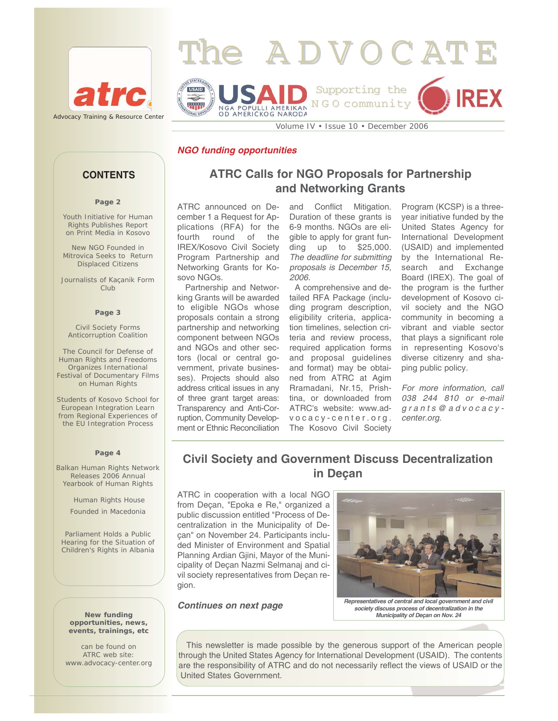



### *NGO funding opportunities*

### **CONTENTS**

#### **Page 2**

Youth Initiative for Human Rights Publishes Report on Print Media in Kosovo

New NGO Founded in Mitrovica Seeks to Return Displaced Citizens

Journalists of Kaçanik Form Club

#### **Page 3**

Civil Society Forms Anticorruption Coalition

The Council for Defense of Human Rights and Freedoms Organizes International Festival of Documentary Films on Human Rights

Students of Kosovo School for European Integration Learn from Regional Experiences of the EU Integration Process

#### **Page 4**

Balkan Human Rights Network Releases 2006 Annual Yearbook of Human Rights

Human Rights House

Founded in Macedonia

Parliament Holds a Public Hearing for the Situation of Children's Rights in Albania

**New funding opportunities, news, events, trainings, etc** 

can be found on ATRC web site: www.advocacy-center.org

## **ATRC Calls for NGO Proposals for Partnership and Networking Grants**

ATRC announced on December 1 a Request for Applications (RFA) for the fourth round of the IREX/Kosovo Civil Society Program Partnership and Networking Grants for Kosovo NGOs.

Partnership and Networking Grants will be awarded to eligible NGOs whose proposals contain a strong partnership and networking component between NGOs and NGOs and other sectors (local or central government, private businesses). Projects should also address critical issues in any of three grant target areas: Transparency and Anti-Corruption, Community Development or Ethnic Reconciliation

and Conflict Mitigation. Duration of these grants is 6-9 months. NGOs are eligible to apply for grant funding up to \$25,000. *The deadline for submitting proposals is December 15, 2006.*

A comprehensive and detailed RFA Package (including program description, eligibility criteria, application timelines, selection criteria and review process, required application forms and proposal guidelines and format) may be obtained from ATRC at Agim Rramadani, Nr.15, Prishtina, or downloaded from ATRC's website: www.advocacy-center.org. The Kosovo Civil Society

Program (KCSP) is a threeyear initiative funded by the United States Agency for International Development (USAID) and implemented by the International Research and Exchange Board (IREX). The goal of the program is the further development of Kosovo civil society and the NGO community in becoming a vibrant and viable sector that plays a significant role in representing Kosovo's diverse citizenry and shaping public policy.

*For more information, call 038 244 810 or e-mail grants@advocacycenter.org.* 

### **Civil Society and Government Discuss Decentralization in Deçan**

ATRC in cooperation with a local NGO from Deçan, "Epoka e Re," organized a public discussion entitled "Process of Decentralization in the Municipality of Deçan" on November 24. Participants included Minister of Environment and Spatial Planning Ardian Gjini, Mayor of the Municipality of Deçan Nazmi Selmanaj and civil society representatives from Deçan region.

*Continues on next page*



*society discuss process of decentralization in the Municipality of Deçan on Nov. 24* 

This newsletter is made possible by the generous support of the American people through the United States Agency for International Development (USAID). The contents are the responsibility of ATRC and do not necessarily reflect the views of USAID or the United States Government.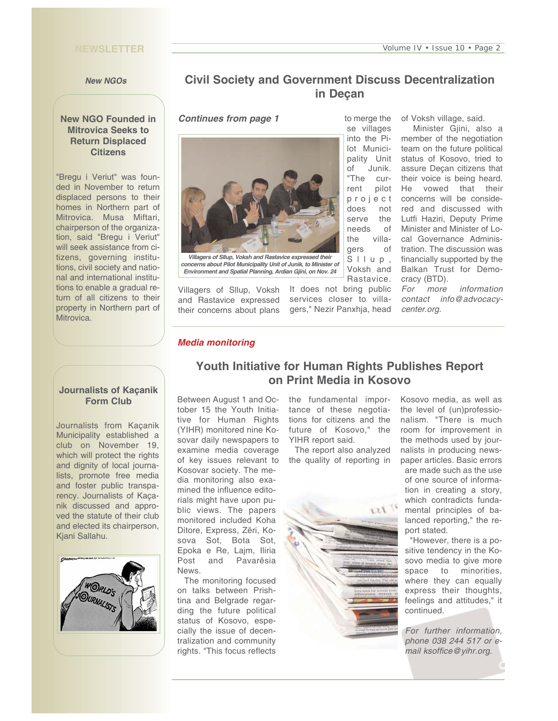### **NEWSLETTER**

#### *New NGOs*

### **New NGO Founded in Mitrovica Seeks to Return Displaced Citizens**

"Bregu i Veriut" was founded in November to return displaced persons to their homes in Northern part of Mitrovica. Musa Miftari, chairperson of the organization, said "Bregu i Veriut" will seek assistance from citizens, governing institutions, civil society and national and international institutions to enable a gradual return of all citizens to their property in Northern part of Mitrovica.

# **Civil Society and Government Discuss Decentralization in Deçan**

*Continues from page 1*



*Villagers of Sllup, Voksh and Rastavice expressed their concerns about Pilot Municipality Unit of Junik, to Minister of Environment and Spatial Planning, Ardian Gjini, on Nov. 24*

Villagers of Sllup, Voksh and Rastavice expressed their concerns about plans

into the Pilot Municipality Unit of Junik. "The current pilot project does not serve the needs of the villagers of Sllup, Voksh and Rastavice.

to merge the se villages

It does not bring public services closer to villagers," Nezir Panxhja, head of Voksh village, said.

Minister Gjini, also a member of the negotiation team on the future political status of Kosovo, tried to assure Deçan citizens that their voice is being heard. He vowed that their concerns will be considered and discussed with Lutfi Haziri, Deputy Prime Minister and Minister of Local Governance Administration. The discussion was financially supported by the Balkan Trust for Democracy (BTD).

*For more information contact info@advocacycenter.org.*

#### *Media monitoring*

# **Youth Initiative for Human Rights Publishes Report on Print Media in Kosovo**

Between August 1 and October 15 the Youth Initiative for Human Rights (YIHR) monitored nine Kosovar daily newspapers to examine media coverage of key issues relevant to Kosovar society. The media monitoring also examined the influence editorials might have upon public views. The papers monitored included Koha Ditore, Express, Zëri, Kosova Sot, Bota Sot, Epoka e Re, Lajm, Iliria Post and Pavarësia News.

The monitoring focused on talks between Prishtina and Belgrade regarding the future political status of Kosovo, especially the issue of decentralization and community rights. "This focus reflects

the fundamental importance of these negotiations for citizens and the future of Kosovo," the YIHR report said.

The report also analyzed the quality of reporting in



Kosovo media, as well as the level of (un)professionalism. "There is much room for improvement in the methods used by journalists in producing newspaper articles. Basic errors are made such as the use of one source of information in creating a story, which contradicts fundamental principles of balanced reporting," the report stated.

"However, there is a positive tendency in the Kosovo media to give more space to minorities, where they can equally express their thoughts, feelings and attitudes," it continued.

*For further information, phone 038 244 517 or email ksoffice@yihr.org.*

#### **Journalists of Kaçanik Form Club**

Journalists from Kaçanik Municipality established a club on November 19, which will protect the rights and dignity of local journalists, promote free media and foster public transparency. Journalists of Kaçanik discussed and approved the statute of their club and elected its chairperson, Kjani Sallahu.

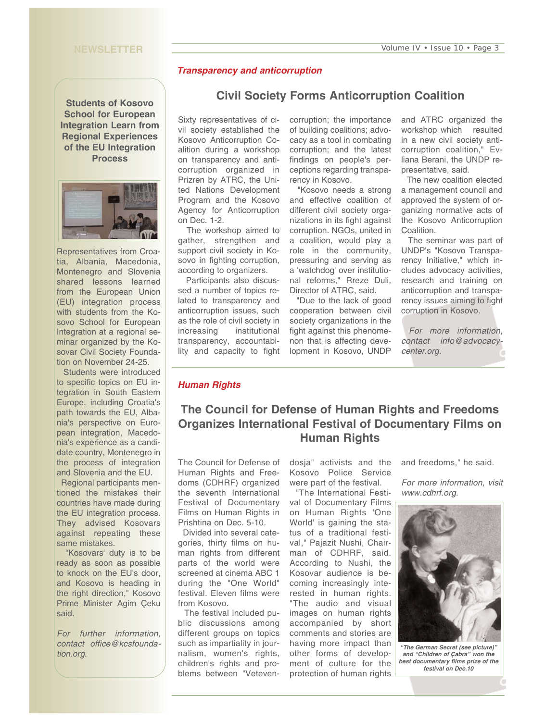#### **NEWSLETTER**

### *Transparency and anticorruption*

**Students of Kosovo School for European Integration Learn from Regional Experiences of the EU Integration Process** 



Representatives from Croatia, Albania, Macedonia, Montenegro and Slovenia shared lessons learned from the European Union (EU) integration process with students from the Kosovo School for European Integration at a regional seminar organized by the Kosovar Civil Society Foundation on November 24-25.

Students were introduced to specific topics on EU integration in South Eastern Europe, including Croatia's path towards the EU, Albania's perspective on European integration, Macedonia's experience as a candidate country, Montenegro in the process of integration and Slovenia and the EU.

Regional participants mentioned the mistakes their countries have made during the EU integration process. They advised Kosovars against repeating these same mistakes.

"Kosovars' duty is to be ready as soon as possible to knock on the EU's door, and Kosovo is heading in the right direction," Kosovo Prime Minister Agim Çeku said.

*For further information, contact office@kcsfoundation.org.* 

## **Civil Society Forms Anticorruption Coalition**

Sixty representatives of civil society established the Kosovo Anticorruption Coalition during a workshop on transparency and anticorruption organized in Prizren by ATRC, the United Nations Development Program and the Kosovo Agency for Anticorruption on Dec. 1-2.

The workshop aimed to gather, strengthen and support civil society in Kosovo in fighting corruption, according to organizers.

Participants also discussed a number of topics related to transparency and anticorruption issues, such as the role of civil society in increasing institutional transparency, accountability and capacity to fight

*Human Rights* 

corruption; the importance of building coalitions; advocacy as a tool in combating corruption; and the latest findings on people's perceptions regarding transparency in Kosovo.

"Kosovo needs a strong and effective coalition of different civil society organizations in its fight against corruption. NGOs, united in a coalition, would play a role in the community, pressuring and serving as a 'watchdog' over institutional reforms," Rreze Duli, Director of ATRC, said.

"Due to the lack of good cooperation between civil society organizations in the fight against this phenomenon that is affecting development in Kosovo, UNDP

and ATRC organized the workshop which resulted in a new civil society anticorruption coalition," Evliana Berani, the UNDP representative, said.

The new coalition elected a management council and approved the system of organizing normative acts of the Kosovo Anticorruption Coalition.

The seminar was part of UNDP's "Kosovo Transparency Initiative," which includes advocacy activities, research and training on anticorruption and transparency issues aiming to fight corruption in Kosovo.

*For more information, contact info@advocacycenter.org.* 

# **The Council for Defense of Human Rights and Freedoms Organizes International Festival of Documentary Films on Human Rights**

The Council for Defense of Human Rights and Freedoms (CDHRF) organized the seventh International Festival of Documentary Films on Human Rights in Prishtina on Dec. 5-10.

Divided into several categories, thirty films on human rights from different parts of the world were screened at cinema ABC 1 during the "One World" festival. Eleven films were from Kosovo.

The festival included public discussions among different groups on topics such as impartiality in journalism, women's rights, children's rights and problems between "Veteven-

dosja" activists and the Kosovo Police Service were part of the festival.

"The International Festival of Documentary Films on Human Rights 'One World' is gaining the status of a traditional festival," Pajazit Nushi, Chairman of CDHRF, said. According to Nushi, the Kosovar audience is becoming increasingly interested in human rights. "The audio and visual images on human rights accompanied by short comments and stories are having more impact than other forms of development of culture for the protection of human rights

and freedoms," he said.

*For more information, visit www.cdhrf.org.*



*"The German Secret (see picture)" and "Children of Çabra" won the best documentary films prize of the festival on Dec.10*